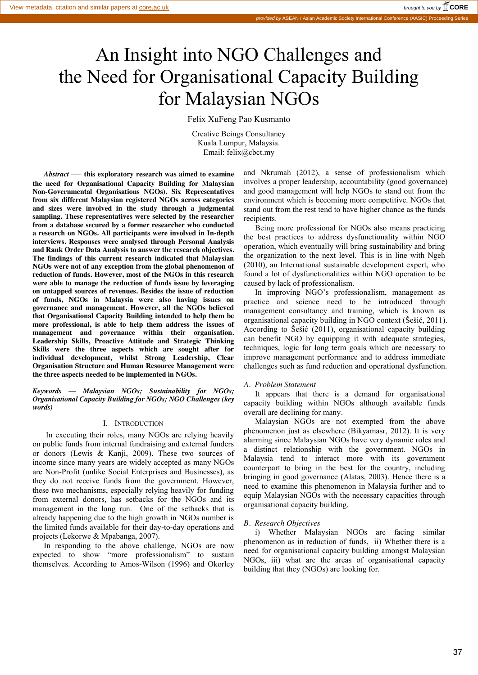# An Insight into NGO Challenges and the Need for Organisational Capacity Building for Malaysian NGOs

Felix XuFeng Pao Kusmanto

Creative Beings Consultancy Kuala Lumpur, Malaysia. Email: felix@cbct.my

*Abstract* — **this exploratory research was aimed to examine the need for Organisational Capacity Building for Malaysian Non-Governmental Organisations NGOs). Six Representatives from six different Malaysian registered NGOs across categories and sizes were involved in the study through a judgmental sampling. These representatives were selected by the researcher from a database secured by a former researcher who conducted a research on NGOs. All participants were involved in In-depth interviews. Responses were analysed through Personal Analysis and Rank Order Data Analysis to answer the research objectives. The findings of this current research indicated that Malaysian NGOs were not of any exception from the global phenomenon of reduction of funds. However, most of the NGOs in this research were able to manage the reduction of funds issue by leveraging on untapped sources of revenues. Besides the issue of reduction of funds, NGOs in Malaysia were also having issues on governance and management. However, all the NGOs believed that Organisational Capacity Building intended to help them be more professional, is able to help them address the issues of management and governance within their organisation***.*  **Leadership Skills, Proactive Attitude and Strategic Thinking Skills were the three aspects which are sought after for individual development, whilst Strong Leadership, Clear Organisation Structure and Human Resource Management were the three aspects needed to be implemented in NGOs.** 

*Keywords — Malaysian NGOs; Sustainability for NGOs; Organisational Capacity Building for NGOs; NGO Challenges (key words)*

#### I. INTRODUCTION

In executing their roles, many NGOs are relying heavily on public funds from internal fundraising and external funders or donors (Lewis & Kanji, 2009). These two sources of income since many years are widely accepted as many NGOs are Non-Profit (unlike Social Enterprises and Businesses), as they do not receive funds from the government. However, these two mechanisms, especially relying heavily for funding from external donors, has setbacks for the NGOs and its management in the long run. One of the setbacks that is already happening due to the high growth in NGOs number is the limited funds available for their day-to-day operations and projects (Lekorwe & Mpabanga, 2007).

In responding to the above challenge, NGOs are now expected to show "more professionalism" to sustain themselves. According to Amos-Wilson (1996) and Okorley

and Nkrumah (2012), a sense of professionalism which involves a proper leadership, accountability (good governance) and good management will help NGOs to stand out from the environment which is becoming more competitive. NGOs that stand out from the rest tend to have higher chance as the funds recipients.

Being more professional for NGOs also means practicing the best practices to address dysfunctionality within NGO operation, which eventually will bring sustainability and bring the organization to the next level. This is in line with Ngeh (2010), an International sustainable development expert, who found a lot of dysfunctionalities within NGO operation to be caused by lack of professionalism.

In improving NGO's professionalism, management as practice and science need to be introduced through management consultancy and training, which is known as organisational capacity building in NGO context (Šešić, 2011). According to Šešić (2011), organisational capacity building can benefit NGO by equipping it with adequate strategies, techniques, logic for long term goals which are necessary to improve management performance and to address immediate challenges such as fund reduction and operational dysfunction.

## *A. Problem Statement*

It appears that there is a demand for organisational capacity building within NGOs although available funds overall are declining for many.

Malaysian NGOs are not exempted from the above phenomenon just as elsewhere (Bikyamasr, 2012). It is very alarming since Malaysian NGOs have very dynamic roles and a distinct relationship with the government. NGOs in Malaysia tend to interact more with its government counterpart to bring in the best for the country, including bringing in good governance (Alatas, 2003). Hence there is a need to examine this phenomenon in Malaysia further and to equip Malaysian NGOs with the necessary capacities through organisational capacity building.

## *B. Research Objectives*

i) Whether Malaysian NGOs are facing similar phenomenon as in reduction of funds, ii) Whether there is a need for organisational capacity building amongst Malaysian NGOs, iii) what are the areas of organisational capacity building that they (NGOs) are looking for.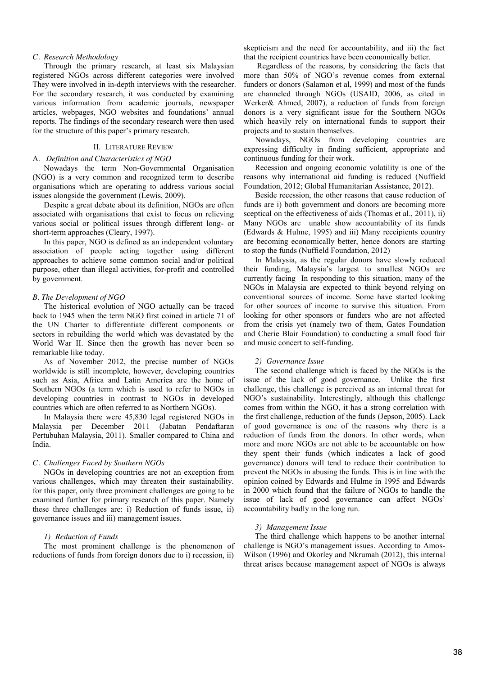## *C. Research Methodology*

Through the primary research, at least six Malaysian registered NGOs across different categories were involved They were involved in in-depth interviews with the researcher. For the secondary research, it was conducted by examining various information from academic journals, newspaper articles, webpages, NGO websites and foundations' annual reports. The findings of the secondary research were then used for the structure of this paper's primary research.

#### II. LITERATURE REVIEW

#### A. *Definition and Characteristics of NGO*

Nowadays the term Non-Governmental Organisation (NGO) is a very common and recognized term to describe organisations which are operating to address various social issues alongside the government (Lewis, 2009).

Despite a great debate about its definition, NGOs are often associated with organisations that exist to focus on relieving various social or political issues through different long- or short-term approaches (Cleary, 1997).

In this paper, NGO is defined as an independent voluntary association of people acting together using different approaches to achieve some common social and/or political purpose, other than illegal activities, for-profit and controlled by government.

#### *B. The Development of NGO*

The historical evolution of NGO actually can be traced back to 1945 when the term NGO first coined in article 71 of the UN Charter to differentiate different components or sectors in rebuilding the world which was devastated by the World War II. Since then the growth has never been so remarkable like today.

As of November 2012, the precise number of NGOs worldwide is still incomplete, however, developing countries such as Asia, Africa and Latin America are the home of Southern NGOs (a term which is used to refer to NGOs in developing countries in contrast to NGOs in developed countries which are often referred to as Northern NGOs).

In Malaysia there were 45,830 legal registered NGOs in Malaysia per December 2011 (Jabatan Pendaftaran Pertubuhan Malaysia, 2011). Smaller compared to China and India.

## *C. Challenges Faced by Southern NGOs*

NGOs in developing countries are not an exception from various challenges, which may threaten their sustainability. for this paper, only three prominent challenges are going to be examined further for primary research of this paper. Namely these three challenges are: i) Reduction of funds issue, ii) governance issues and iii) management issues.

#### *1) Reduction of Funds*

The most prominent challenge is the phenomenon of reductions of funds from foreign donors due to i) recession, ii)

skepticism and the need for accountability, and iii) the fact that the recipient countries have been economically better.

Regardless of the reasons, by considering the facts that more than 50% of NGO's revenue comes from external funders or donors (Salamon et al, 1999) and most of the funds are channeled through NGOs (USAID, 2006, as cited in Werker& Ahmed, 2007), a reduction of funds from foreign donors is a very significant issue for the Southern NGOs which heavily rely on international funds to support their projects and to sustain themselves.

Nowadays, NGOs from developing countries are expressing difficulty in finding sufficient, appropriate and continuous funding for their work.

Recession and ongoing economic volatility is one of the reasons why international aid funding is reduced (Nuffield Foundation, 2012; Global Humanitarian Assistance, 2012).

Beside recession, the other reasons that cause reduction of funds are i) both government and donors are becoming more sceptical on the effectiveness of aids (Thomas et al., 2011), ii) Many NGOs are unable show accountability of its funds (Edwards & Hulme, 1995) and iii) Many receipients country are becoming economically better, hence donors are starting to stop the funds (Nuffield Foundation, 2012)

In Malaysia, as the regular donors have slowly reduced their funding, Malaysia's largest to smallest NGOs are currently facing In responding to this situation, many of the NGOs in Malaysia are expected to think beyond relying on conventional sources of income. Some have started looking for other sources of income to survive this situation. From looking for other sponsors or funders who are not affected from the crisis yet (namely two of them, Gates Foundation and Cherie Blair Foundation) to conducting a small food fair and music concert to self-funding.

#### *2) Governance Issue*

The second challenge which is faced by the NGOs is the issue of the lack of good governance. Unlike the first challenge, this challenge is perceived as an internal threat for NGO's sustainability. Interestingly, although this challenge comes from within the NGO, it has a strong correlation with the first challenge, reduction of the funds (Jepson, 2005). Lack of good governance is one of the reasons why there is a reduction of funds from the donors. In other words, when more and more NGOs are not able to be accountable on how they spent their funds (which indicates a lack of good governance) donors will tend to reduce their contribution to prevent the NGOs in abusing the funds. This is in line with the opinion coined by Edwards and Hulme in 1995 and Edwards in 2000 which found that the failure of NGOs to handle the issue of lack of good governance can affect NGOs' accountability badly in the long run.

#### *3) Management Issue*

The third challenge which happens to be another internal challenge is NGO's management issues. According to Amos-Wilson (1996) and Okorley and Nkrumah (2012), this internal threat arises because management aspect of NGOs is always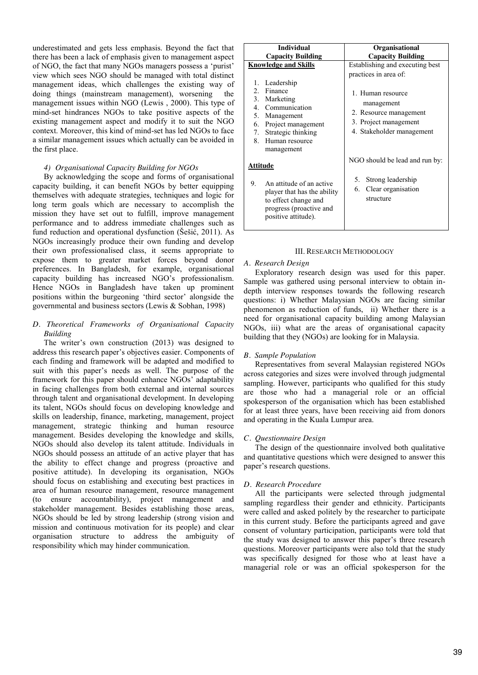underestimated and gets less emphasis. Beyond the fact that there has been a lack of emphasis given to management aspect of NGO, the fact that many NGOs managers possess a 'purist' view which sees NGO should be managed with total distinct management ideas, which challenges the existing way of doing things (mainstream management), worsening the management issues within NGO (Lewis , 2000). This type of mind-set hindrances NGOs to take positive aspects of the existing management aspect and modify it to suit the NGO context. Moreover, this kind of mind-set has led NGOs to face a similar management issues which actually can be avoided in the first place.

# *4) Organisational Capacity Building for NGOs*

By acknowledging the scope and forms of organisational capacity building, it can benefit NGOs by better equipping themselves with adequate strategies, techniques and logic for long term goals which are necessary to accomplish the mission they have set out to fulfill, improve management performance and to address immediate challenges such as fund reduction and operational dysfunction (Šešić, 2011). As NGOs increasingly produce their own funding and develop their own professionalised class, it seems appropriate to expose them to greater market forces beyond donor preferences. In Bangladesh, for example, organisational capacity building has increased NGO's professionalism. Hence NGOs in Bangladesh have taken up prominent positions within the burgeoning 'third sector' alongside the governmental and business sectors (Lewis & Sobhan, 1998)

# *D. Theoretical Frameworks of Organisational Capacity Building*

The writer's own construction (2013) was designed to address this research paper's objectives easier. Components of each finding and framework will be adapted and modified to suit with this paper's needs as well. The purpose of the framework for this paper should enhance NGOs' adaptability in facing challenges from both external and internal sources through talent and organisational development. In developing its talent, NGOs should focus on developing knowledge and skills on leadership, finance, marketing, management, project management, strategic thinking and human resource management. Besides developing the knowledge and skills, NGOs should also develop its talent attitude. Individuals in NGOs should possess an attitude of an active player that has the ability to effect change and progress (proactive and positive attitude). In developing its organisation, NGOs should focus on establishing and executing best practices in area of human resource management, resource management (to ensure accountability), project management and stakeholder management. Besides establishing those areas, NGOs should be led by strong leadership (strong vision and mission and continuous motivation for its people) and clear organisation structure to address the ambiguity of responsibility which may hinder communication.

| <b>Capacity Building</b><br>Establishing and executing best                                                                              |  |
|------------------------------------------------------------------------------------------------------------------------------------------|--|
|                                                                                                                                          |  |
|                                                                                                                                          |  |
| practices in area of:<br>1. Human resource<br>management<br>2. Resource management<br>3. Project management<br>4. Stakeholder management |  |
| NGO should be lead and run by:<br>Strong leadership<br>Clear organisation<br>structure                                                   |  |
|                                                                                                                                          |  |

#### III. RESEARCH METHODOLOGY

## *A. Research Design*

Exploratory research design was used for this paper. Sample was gathered using personal interview to obtain indepth interview responses towards the following research questions: i) Whether Malaysian NGOs are facing similar phenomenon as reduction of funds, ii) Whether there is a need for organisational capacity building among Malaysian NGOs, iii) what are the areas of organisational capacity building that they (NGOs) are looking for in Malaysia.

# *B. Sample Population*

Representatives from several Malaysian registered NGOs across categories and sizes were involved through judgmental sampling. However, participants who qualified for this study are those who had a managerial role or an official spokesperson of the organisation which has been established for at least three years, have been receiving aid from donors and operating in the Kuala Lumpur area.

#### *C. Questionnaire Design*

The design of the questionnaire involved both qualitative and quantitative questions which were designed to answer this paper's research questions.

## *D. Research Procedure*

All the participants were selected through judgmental sampling regardless their gender and ethnicity. Participants were called and asked politely by the researcher to participate in this current study. Before the participants agreed and gave consent of voluntary participation, participants were told that the study was designed to answer this paper's three research questions. Moreover participants were also told that the study was specifically designed for those who at least have a managerial role or was an official spokesperson for the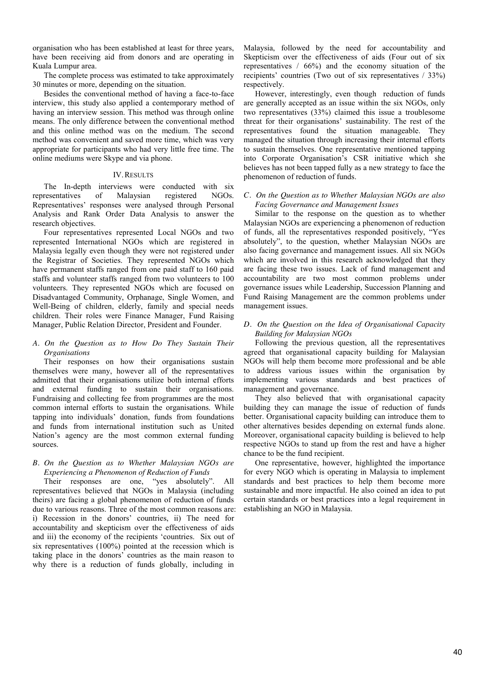organisation who has been established at least for three years, have been receiving aid from donors and are operating in Kuala Lumpur area.

The complete process was estimated to take approximately 30 minutes or more, depending on the situation.

Besides the conventional method of having a face-to-face interview, this study also applied a contemporary method of having an interview session. This method was through online means. The only difference between the conventional method and this online method was on the medium. The second method was convenient and saved more time, which was very appropriate for participants who had very little free time. The online mediums were Skype and via phone.

# IV.RESULTS

The In-depth interviews were conducted with six representatives of Malaysian registered NGOs. Representatives' responses were analysed through Personal Analysis and Rank Order Data Analysis to answer the research objectives.

Four representatives represented Local NGOs and two represented International NGOs which are registered in Malaysia legally even though they were not registered under the Registrar of Societies. They represented NGOs which have permanent staffs ranged from one paid staff to 160 paid staffs and volunteer staffs ranged from two volunteers to 100 volunteers. They represented NGOs which are focused on Disadvantaged Community, Orphanage, Single Women, and Well-Being of children, elderly, family and special needs children. Their roles were Finance Manager, Fund Raising Manager, Public Relation Director, President and Founder.

# *A. On the Question as to How Do They Sustain Their Organisations*

Their responses on how their organisations sustain themselves were many, however all of the representatives admitted that their organisations utilize both internal efforts and external funding to sustain their organisations. Fundraising and collecting fee from programmes are the most common internal efforts to sustain the organisations. While tapping into individuals' donation, funds from foundations and funds from international institution such as United Nation's agency are the most common external funding sources.

# *B. On the Question as to Whether Malaysian NGOs are Experiencing a Phenomenon of Reduction of Funds*

Their responses are one, "yes absolutely". All representatives believed that NGOs in Malaysia (including theirs) are facing a global phenomenon of reduction of funds due to various reasons. Three of the most common reasons are: i) Recession in the donors' countries, ii) The need for accountability and skepticism over the effectiveness of aids and iii) the economy of the recipients 'countries. Six out of six representatives (100%) pointed at the recession which is taking place in the donors' countries as the main reason to why there is a reduction of funds globally, including in

Malaysia, followed by the need for accountability and Skepticism over the effectiveness of aids (Four out of six representatives  $/66\%$  and the economy situation of the recipients' countries (Two out of six representatives / 33%) respectively.

However, interestingly, even though reduction of funds are generally accepted as an issue within the six NGOs, only two representatives (33%) claimed this issue a troublesome threat for their organisations' sustainability. The rest of the representatives found the situation manageable. They managed the situation through increasing their internal efforts to sustain themselves. One representative mentioned tapping into Corporate Organisation's CSR initiative which she believes has not been tapped fully as a new strategy to face the phenomenon of reduction of funds.

# *C. On the Question as to Whether Malaysian NGOs are also Facing Governance and Management Issues*

Similar to the response on the question as to whether Malaysian NGOs are experiencing a phenomenon of reduction of funds, all the representatives responded positively, "Yes absolutely", to the question, whether Malaysian NGOs are also facing governance and management issues. All six NGOs which are involved in this research acknowledged that they are facing these two issues. Lack of fund management and accountability are two most common problems under governance issues while Leadership, Succession Planning and Fund Raising Management are the common problems under management issues.

# *D. On the Question on the Idea of Organisational Capacity Building for Malaysian NGOs*

Following the previous question, all the representatives agreed that organisational capacity building for Malaysian NGOs will help them become more professional and be able to address various issues within the organisation by implementing various standards and best practices of management and governance.

They also believed that with organisational capacity building they can manage the issue of reduction of funds better. Organisational capacity building can introduce them to other alternatives besides depending on external funds alone. Moreover, organisational capacity building is believed to help respective NGOs to stand up from the rest and have a higher chance to be the fund recipient.

One representative, however, highlighted the importance for every NGO which is operating in Malaysia to implement standards and best practices to help them become more sustainable and more impactful. He also coined an idea to put certain standards or best practices into a legal requirement in establishing an NGO in Malaysia.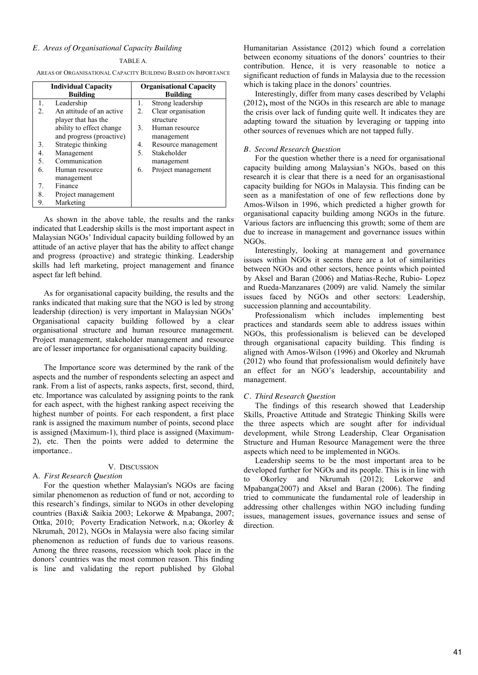# *E. Areas of Organisational Capacity Building*

#### TABLE A.

AREAS OF ORGANISATIONAL CAPACITY BUILDING BASED ON IMPORTANCE

| <b>Individual Capacity</b> |                          | <b>Organisational Capacity</b> |                     |
|----------------------------|--------------------------|--------------------------------|---------------------|
| <b>Building</b>            |                          | <b>Building</b>                |                     |
| 1.                         | Leadership               | 1.                             | Strong leadership   |
| $2^{\circ}$                | An attitude of an active | $\overline{2}$ .               | Clear organisation  |
|                            | player that has the      |                                | structure           |
|                            | ability to effect change | 3.                             | Human resource      |
|                            | and progress (proactive) |                                | management          |
| 3.                         | Strategic thinking       | 4.                             | Resource management |
| 4.                         | Management               | 5.                             | Stakeholder         |
| 5.                         | Communication            |                                | management          |
| 6.                         | Human resource           | 6.                             | Project management  |
|                            | management               |                                |                     |
| 7.                         | Finance                  |                                |                     |
| 8.                         | Project management       |                                |                     |
| 9.                         | Marketing                |                                |                     |

As shown in the above table, the results and the ranks indicated that Leadership skills is the most important aspect in Malaysian NGOs' Individual capacity building followed by an attitude of an active player that has the ability to affect change and progress (proactive) and strategic thinking. Leadership skills had left marketing, project management and finance aspect far left behind.

As for organisational capacity building, the results and the ranks indicated that making sure that the NGO is led by strong leadership (direction) is very important in Malaysian NGOs' Organisational capacity building followed by a clear organisational structure and human resource management. Project management, stakeholder management and resource are of lesser importance for organisational capacity building.

The Importance score was determined by the rank of the aspects and the number of respondents selecting an aspect and rank. From a list of aspects, ranks aspects, first, second, third, etc. Importance was calculated by assigning points to the rank for each aspect, with the highest ranking aspect receiving the highest number of points. For each respondent, a first place rank is assigned the maximum number of points, second place is assigned (Maximum-1), third place is assigned (Maximum-2), etc. Then the points were added to determine the importance..

# V. DISCUSSION

# A. *First Research Question*

For the question whether Malaysian's NGOs are facing similar phenomenon as reduction of fund or not, according to this research's findings, similar to NGOs in other developing countries (Baxi& Saikia 2003; Lekorwe & Mpabanga, 2007; Ottka, 2010; Poverty Eradication Network, n.a; Okorley & Nkrumah, 2012), NGOs in Malaysia were also facing similar phenomenon as reduction of funds due to various reasons. Among the three reasons, recession which took place in the donors' countries was the most common reason. This finding is line and validating the report published by Global

Humanitarian Assistance (2012) which found a correlation between economy situations of the donors' countries to their contribution. Hence, it is very reasonable to notice a significant reduction of funds in Malaysia due to the recession which is taking place in the donors' countries.

Interestingly, differ from many cases described by Velaphi (2012)**,** most of the NGOs in this research are able to manage the crisis over lack of funding quite well. It indicates they are adapting toward the situation by leveraging or tapping into other sources of revenues which are not tapped fully.

#### *B. Second Research Question*

For the question whether there is a need for organisational capacity building among Malaysian's NGOs*,* based on this research it is clear that there is a need for an organisastional capacity building for NGOs in Malaysia. This finding can be seen as a manifestation of one of few reflections done by Amos-Wilson in 1996, which predicted a higher growth for organisational capacity building among NGOs in the future. Various factors are influencing this growth; some of them are due to increase in management and governance issues within NGOs.

Interestingly, looking at management and governance issues within NGOs it seems there are a lot of similarities between NGOs and other sectors, hence points which pointed by Aksel and Baran (2006) and Matias-Reche, Rubio- Lopez and Rueda-Manzanares (2009) are valid. Namely the similar issues faced by NGOs and other sectors: Leadership, succession planning and accountability.

Professionalism which includes implementing best practices and standards seem able to address issues within NGOs, this professionalism is believed can be developed through organisational capacity building. This finding is aligned with Amos-Wilson (1996) and Okorley and Nkrumah (2012) who found that professionalism would definitely have an effect for an NGO's leadership, accountability and management.

## *C. Third Research Question*

The findings of this research showed that Leadership Skills, Proactive Attitude and Strategic Thinking Skills were the three aspects which are sought after for individual development, while Strong Leadership, Clear Organisation Structure and Human Resource Management were the three aspects which need to be implemented in NGOs.

Leadership seems to be the most important area to be developed further for NGOs and its people. This is in line with to Okorley and Nkrumah (2012); Lekorwe and Mpabanga(2007) and Aksel and Baran (2006). The finding tried to communicate the fundamental role of leadership in addressing other challenges within NGO including funding issues, management issues, governance issues and sense of direction.